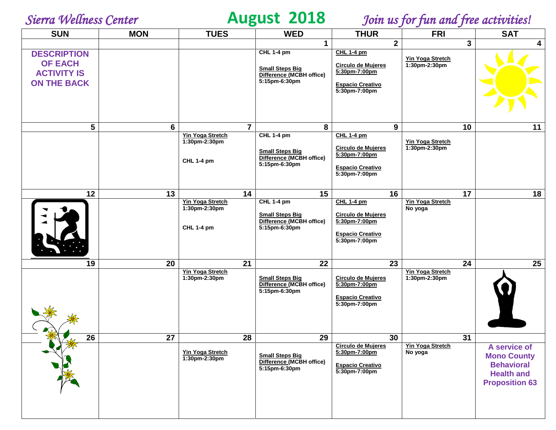# *Sierra Wellness Center* **August 2018** *Join us for fun and free activities!*

| <b>SUN</b>                                                                       | <b>MON</b> | <b>TUES</b>                                                   | <b>WED</b>                                                                               | <b>THUR</b>                                                                                                 | <b>FRI</b>                               | <b>SAT</b>                                                                                            |
|----------------------------------------------------------------------------------|------------|---------------------------------------------------------------|------------------------------------------------------------------------------------------|-------------------------------------------------------------------------------------------------------------|------------------------------------------|-------------------------------------------------------------------------------------------------------|
|                                                                                  |            |                                                               | $\mathbf 1$                                                                              | $\overline{2}$                                                                                              | 3                                        | 4                                                                                                     |
| <b>DESCRIPTION</b><br><b>OF EACH</b><br><b>ACTIVITY IS</b><br><b>ON THE BACK</b> |            |                                                               | CHL 1-4 pm<br><b>Small Steps Big</b><br>Difference (MCBH office)<br>5:15pm-6:30pm        | <b>CHL 1-4 pm</b><br><b>Circulo de Mujeres</b><br>5:30pm-7:00pm<br><b>Espacio Creativo</b><br>5:30pm-7:00pm | <b>Yin Yoga Stretch</b><br>1:30pm-2:30pm |                                                                                                       |
| $5\phantom{.0}$                                                                  | 6          | $\overline{7}$                                                | 8                                                                                        | 9                                                                                                           | 10                                       | 11                                                                                                    |
|                                                                                  |            | <b>Yin Yoga Stretch</b><br>1:30pm-2:30pm<br><b>CHL 1-4 pm</b> | <b>CHL 1-4 pm</b><br><b>Small Steps Big</b><br>Difference (MCBH office)<br>5:15pm-6:30pm | <b>CHL 1-4 pm</b><br><b>Circulo de Mujeres</b><br>5:30pm-7:00pm<br><b>Espacio Creativo</b><br>5:30pm-7:00pm | <b>Yin Yoga Stretch</b><br>1:30pm-2:30pm |                                                                                                       |
| 12                                                                               | 13         | 14                                                            | 15                                                                                       | 16                                                                                                          | 17                                       | 18                                                                                                    |
|                                                                                  |            | <b>Yin Yoga Stretch</b><br>1:30pm-2:30pm<br><b>CHL 1-4 pm</b> | <b>CHL 1-4 pm</b><br><b>Small Steps Big</b><br>Difference (MCBH office)<br>5:15pm-6:30pm | <b>CHL 1-4 pm</b><br><b>Circulo de Mujeres</b><br>5:30pm-7:00pm<br><b>Espacio Creativo</b><br>5:30pm-7:00pm | <b>Yin Yoga Stretch</b><br>No yoga       |                                                                                                       |
| 19                                                                               | 20         | 21                                                            | 22                                                                                       | 23                                                                                                          | 24                                       | 25                                                                                                    |
|                                                                                  |            | <b>Yin Yoga Stretch</b><br>1:30pm-2:30pm                      | <b>Small Steps Big</b><br>Difference (MCBH office)<br>5:15pm-6:30pm                      | <b>Circulo de Mujeres</b><br>5:30pm-7:00pm<br><b>Espacio Creativo</b><br>5:30pm-7:00pm                      | Yin Yoga Stretch<br>1:30pm-2:30pm        |                                                                                                       |
| 26                                                                               | 27         | 28                                                            | 29                                                                                       | 30                                                                                                          | 31                                       |                                                                                                       |
|                                                                                  |            | <b>Yin Yoga Stretch</b><br>1:30pm-2:30pm                      | <b>Small Steps Big</b><br>Difference (MCBH office)<br>5:15pm-6:30pm                      | <b>Circulo de Mujeres</b><br>5:30pm-7:00pm<br><b>Espacio Creativo</b><br>5:30pm-7:00pm                      | <b>Yin Yoga Stretch</b><br>No yoga       | A service of<br><b>Mono County</b><br><b>Behavioral</b><br><b>Health and</b><br><b>Proposition 63</b> |